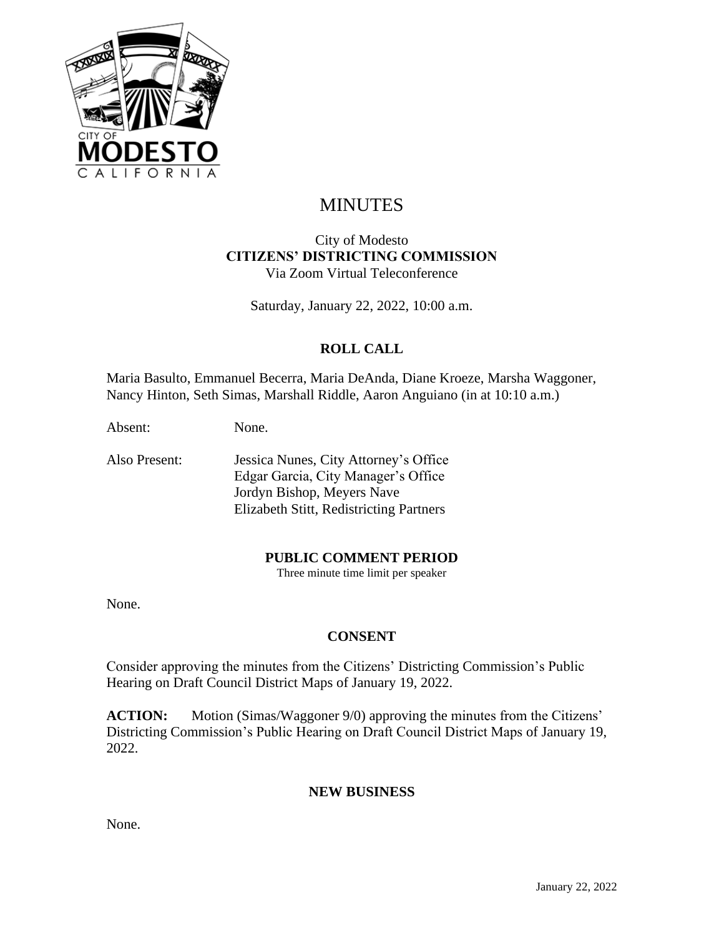

# MINUTES

#### City of Modesto **CITIZENS' DISTRICTING COMMISSION** Via Zoom Virtual Teleconference

Saturday, January 22, 2022, 10:00 a.m.

## **ROLL CALL**

Maria Basulto, Emmanuel Becerra, Maria DeAnda, Diane Kroeze, Marsha Waggoner, Nancy Hinton, Seth Simas, Marshall Riddle, Aaron Anguiano (in at 10:10 a.m.)

Absent: None.

Also Present: Jessica Nunes, City Attorney's Office Edgar Garcia, City Manager's Office Jordyn Bishop, Meyers Nave Elizabeth Stitt, Redistricting Partners

#### **PUBLIC COMMENT PERIOD**

Three minute time limit per speaker

None.

#### **CONSENT**

Consider approving the minutes from the Citizens' Districting Commission's Public Hearing on Draft Council District Maps of January 19, 2022.

**ACTION:** Motion (Simas/Waggoner 9/0) approving the minutes from the Citizens' Districting Commission's Public Hearing on Draft Council District Maps of January 19, 2022.

#### **NEW BUSINESS**

None.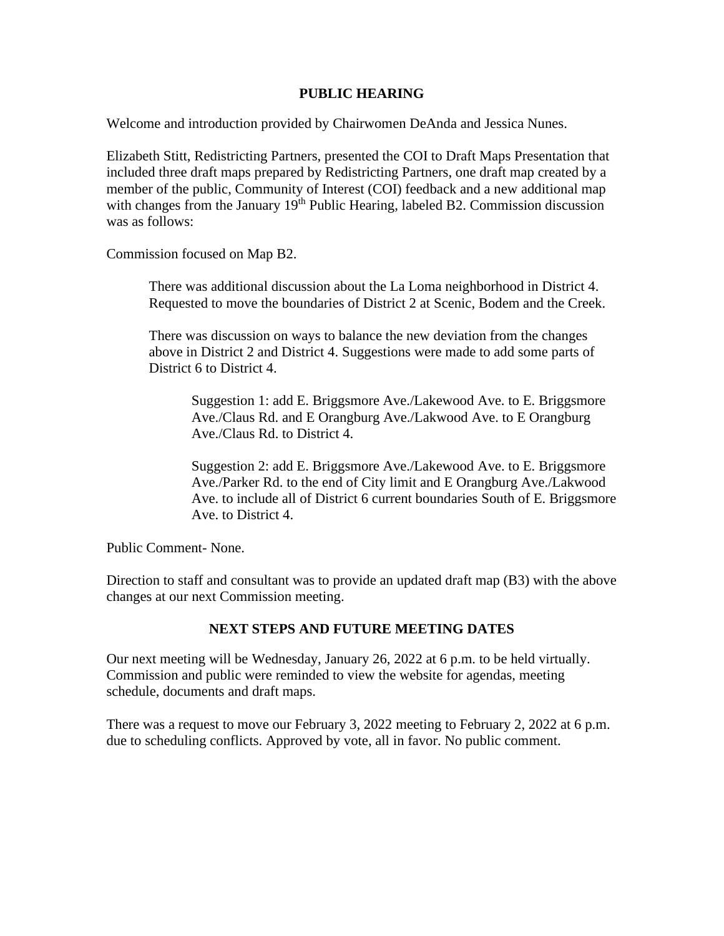#### **PUBLIC HEARING**

Welcome and introduction provided by Chairwomen DeAnda and Jessica Nunes.

Elizabeth Stitt, Redistricting Partners, presented the COI to Draft Maps Presentation that included three draft maps prepared by Redistricting Partners, one draft map created by a member of the public, Community of Interest (COI) feedback and a new additional map with changes from the January  $19<sup>th</sup>$  Public Hearing, labeled B2. Commission discussion was as follows:

Commission focused on Map B2.

There was additional discussion about the La Loma neighborhood in District 4. Requested to move the boundaries of District 2 at Scenic, Bodem and the Creek.

There was discussion on ways to balance the new deviation from the changes above in District 2 and District 4. Suggestions were made to add some parts of District 6 to District 4.

Suggestion 1: add E. Briggsmore Ave./Lakewood Ave. to E. Briggsmore Ave./Claus Rd. and E Orangburg Ave./Lakwood Ave. to E Orangburg Ave./Claus Rd. to District 4.

Suggestion 2: add E. Briggsmore Ave./Lakewood Ave. to E. Briggsmore Ave./Parker Rd. to the end of City limit and E Orangburg Ave./Lakwood Ave. to include all of District 6 current boundaries South of E. Briggsmore Ave. to District 4.

Public Comment- None.

Direction to staff and consultant was to provide an updated draft map (B3) with the above changes at our next Commission meeting.

### **NEXT STEPS AND FUTURE MEETING DATES**

Our next meeting will be Wednesday, January 26, 2022 at 6 p.m. to be held virtually. Commission and public were reminded to view the website for agendas, meeting schedule, documents and draft maps.

There was a request to move our February 3, 2022 meeting to February 2, 2022 at 6 p.m. due to scheduling conflicts. Approved by vote, all in favor. No public comment.